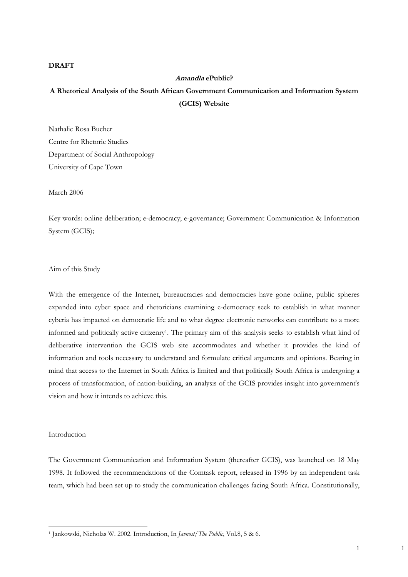# **DRAFT**

# **Amandla ePublic? A Rhetorical Analysis of the South African Government Communication and Information System (GCIS) Website**

Nathalie Rosa Bucher Centre for Rhetoric Studies Department of Social Anthropology University of Cape Town

March 2006

Key words: online deliberation; e-democracy; e-governance; Government Communication & Information System (GCIS);

Aim of this Study

With the emergence of the Internet, bureaucracies and democracies have gone online, public spheres expanded into cyber space and rhetoricians examining e-democracy seek to establish in what manner cyberia has impacted on democratic life and to what degree electronic networks can contribute to a more informed and politically active citizenry1. The primary aim of this analysis seeks to establish what kind of deliberative intervention the GCIS web site accommodates and whether it provides the kind of information and tools necessary to understand and formulate critical arguments and opinions. Bearing in mind that access to the Internet in South Africa is limited and that politically South Africa is undergoing a process of transformation, of nation-building, an analysis of the GCIS provides insight into government's vision and how it intends to achieve this.

Introduction

-

The Government Communication and Information System (thereafter GCIS), was launched on 18 May 1998. It followed the recommendations of the Comtask report, released in 1996 by an independent task team, which had been set up to study the communication challenges facing South Africa. Constitutionally,

1 1

<sup>1</sup> Jankowski, Nicholas W. 2002. Introduction, In *Javnost/The Public*, Vol.8, 5 & 6.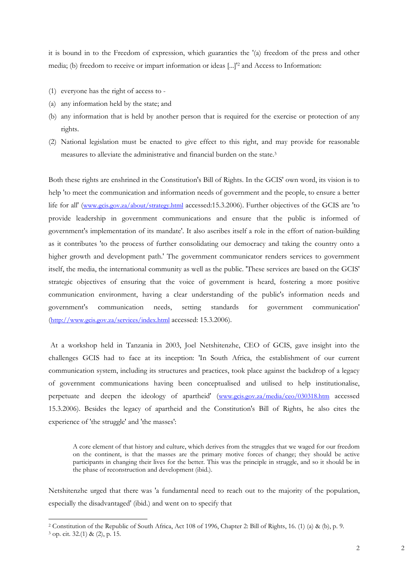it is bound in to the Freedom of expression, which guaranties the '(a) freedom of the press and other media; (b) freedom to receive or impart information or ideas [...]'2 and Access to Information:

- (1) everyone has the right of access to -
- (a) any information held by the state; and
- (b) any information that is held by another person that is required for the exercise or protection of any rights.
- (2) National legislation must be enacted to give effect to this right, and may provide for reasonable measures to alleviate the administrative and financial burden on the state.3

Both these rights are enshrined in the Constitution's Bill of Rights. In the GCIS' own word, its vision is to help 'to meet the communication and information needs of government and the people, to ensure a better life for all' (www.gcis.gov.za/about/strategy.html accessed:15.3.2006). Further objectives of the GCIS are 'to provide leadership in government communications and ensure that the public is informed of government's implementation of its mandate'. It also ascribes itself a role in the effort of nation-building as it contributes 'to the process of further consolidating our democracy and taking the country onto a higher growth and development path.' The government communicator renders services to government itself, the media, the international community as well as the public. 'These services are based on the GCIS' strategic objectives of ensuring that the voice of government is heard, fostering a more positive communication environment, having a clear understanding of the public's information needs and government's communication needs, setting standards for government communication' (http://www.gcis.gov.za/services/index.html accessed: 15.3.2006).

 At a workshop held in Tanzania in 2003, Joel Netshitenzhe, CEO of GCIS, gave insight into the challenges GCIS had to face at its inception: 'In South Africa, the establishment of our current communication system, including its structures and practices, took place against the backdrop of a legacy of government communications having been conceptualised and utilised to help institutionalise, perpetuate and deepen the ideology of apartheid' (www.gcis.gov.za/media/ceo/030318.htm accessed 15.3.2006). Besides the legacy of apartheid and the Constitution's Bill of Rights, he also cites the experience of 'the struggle' and 'the masses':

A core element of that history and culture, which derives from the struggles that we waged for our freedom on the continent, is that the masses are the primary motive forces of change; they should be active participants in changing their lives for the better. This was the principle in struggle, and so it should be in the phase of reconstruction and development (ibid.).

Netshitenzhe urged that there was 'a fundamental need to reach out to the majority of the population, especially the disadvantaged' (ibid.) and went on to specify that

<sup>&</sup>lt;sup>2</sup> Constitution of the Republic of South Africa, Act 108 of 1996, Chapter 2: Bill of Rights, 16. (1) (a) & (b), p. 9. <sup>3</sup> op. cit. 32.(1) & (2), p. 15.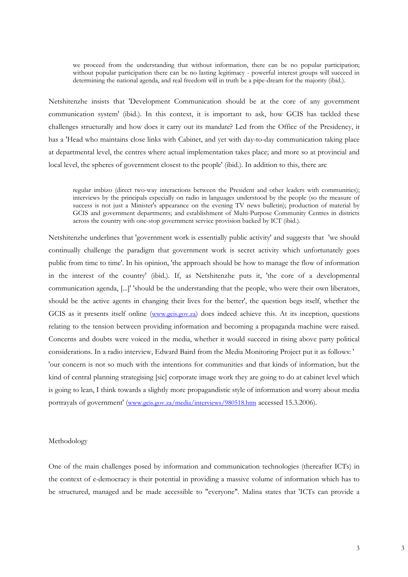we proceed from the understanding that without information, there can be no popular participation; without popular participation there can be no lasting legitimacy - powerful interest groups will succeed in determining the national agenda, and real freedom will in truth be a pipe-dream for the majority (ibid.).

Netshitenzhe insists that 'Development Communication should be at the core of any government communication system' (ibid.). In this context, it is important to ask, how GCIS has tackled these challenges structurally and how does it carry out its mandate? Led from the Office of the Presidency, it has a 'Head who maintains close links with Cabinet, and yet with day-to-day communication taking place at departmental level, the centres where actual implementation takes place; and more so at provincial and local level, the spheres of government closest to the people' (ibid.). In addition to this, there are

regular imbizo (direct two-way interactions between the President and other leaders with communities); interviews by the principals especially on radio in languages understood by the people (so the measure of success is not just a Minister's appearance on the evening TV news bulletin); production of material by GCIS and government departments; and establishment of Multi-Purpose Community Centres in districts across the country with one-stop government service provision backed by ICT (ibid.).

Netshitenzhe underlines that 'government work is essentially public activity' and suggests that 'we should continually challenge the paradigm that government work is secret activity which unfortunately goes public from time to time'. In his opinion, 'the approach should be how to manage the flow of information in the interest of the country' (ibid.). If, as Netshitenzhe puts it, 'the core of a developmental communication agenda, [...]' 'should be the understanding that the people, who were their own liberators, should be the active agents in changing their lives for the better', the question begs itself, whether the GCIS as it presents itself online (www.gcis.gov.za) does indeed achieve this. At its inception, questions relating to the tension between providing information and becoming a propaganda machine were raised. Concerns and doubts were voiced in the media, whether it would succeed in rising above party political considerations. In a radio interview, Edward Baird from the Media Monitoring Project put it as follows: ' 'our concern is not so much with the intentions for communities and that kinds of information, but the kind of central planning strategising [sic] corporate image work they are going to do at cabinet level which is going to lean, I think towards a slightly more propagandistic style of information and worry about media portrayals of government' (www.gcis.gov.za/media/interviews/980518.htm accessed 15.3.2006).

#### Methodology

One of the main challenges posed by information and communication technologies (thereafter ICTs) in the context of e-democracy is their potential in providing a massive volume of information which has to be structured, managed and be made accessible to "everyone". Malina states that 'ICTs can provide a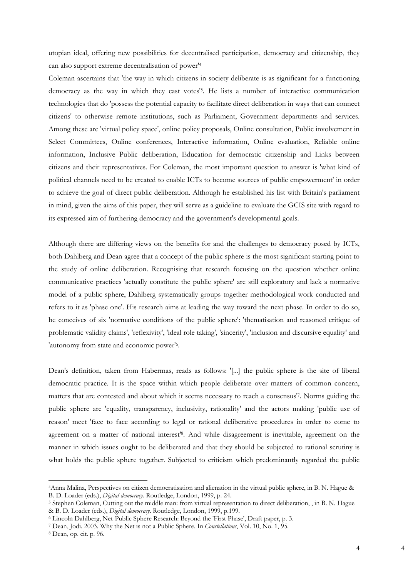utopian ideal, offering new possibilities for decentralised participation, democracy and citizenship, they can also support extreme decentralisation of power'4

Coleman ascertains that 'the way in which citizens in society deliberate is as significant for a functioning democracy as the way in which they cast votes'5. He lists a number of interactive communication technologies that do 'possess the potential capacity to facilitate direct deliberation in ways that can connect citizens' to otherwise remote institutions, such as Parliament, Government departments and services. Among these are 'virtual policy space', online policy proposals, Online consultation, Public involvement in Select Committees, Online conferences, Interactive information, Online evaluation, Reliable online information, Inclusive Public deliberation, Education for democratic citizenship and Links between citizens and their representatives. For Coleman, the most important question to answer is 'what kind of political channels need to be created to enable ICTs to become sources of public empowerment' in order to achieve the goal of direct public deliberation. Although he established his list with Britain's parliament in mind, given the aims of this paper, they will serve as a guideline to evaluate the GCIS site with regard to its expressed aim of furthering democracy and the government's developmental goals.

Although there are differing views on the benefits for and the challenges to democracy posed by ICTs, both Dahlberg and Dean agree that a concept of the public sphere is the most significant starting point to the study of online deliberation. Recognising that research focusing on the question whether online communicative practices 'actually constitute the public sphere' are still exploratory and lack a normative model of a public sphere, Dahlberg systematically groups together methodological work conducted and refers to it as 'phase one'. His research aims at leading the way toward the next phase. In order to do so, he conceives of six 'normative conditions of the public sphere': 'thematisation and reasoned critique of problematic validity claims', 'reflexivity', 'ideal role taking', 'sincerity', 'inclusion and discursive equality' and 'autonomy from state and economic power'6.

Dean's definition, taken from Habermas, reads as follows: '[...] the public sphere is the site of liberal democratic practice. It is the space within which people deliberate over matters of common concern, matters that are contested and about which it seems necessary to reach a consensus'7. Norms guiding the public sphere are 'equality, transparency, inclusivity, rationality' and the actors making 'public use of reason' meet 'face to face according to legal or rational deliberative procedures in order to come to agreement on a matter of national interest'8. And while disagreement is inevitable, agreement on the manner in which issues ought to be deliberated and that they should be subjected to rational scrutiny is what holds the public sphere together. Subjected to criticism which predominantly regarded the public

<sup>4</sup>Anna Malina, Perspectives on citizen democratisation and alienation in the virtual public sphere, in B. N. Hague & B. D. Loader (eds.), *Digital democracy*. Routledge, London, 1999, p. 24.<br><sup>5</sup> Stephen Coleman, Cutting out the middle man: from virtual representation to direct deliberation, , in B. N. Hague

<sup>&</sup>amp; B. D. Loader (eds.), *Digital democracy*. Routledge, London, 1999, p.199.<br>
<sup>6</sup> Lincoln Dahlberg, Net-Public Sphere Research: Beyond the 'First Phase', Draft paper, p. 3.<br>
<sup>7</sup> Dean, Jodi. 2003. Why the Net is not a Public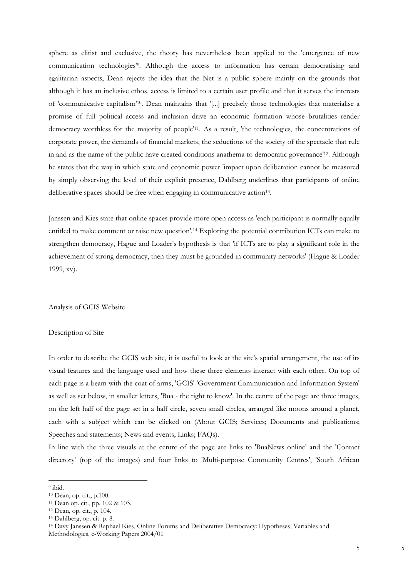sphere as elitist and exclusive, the theory has nevertheless been applied to the 'emergence of new communication technologies'9. Although the access to information has certain democratising and egalitarian aspects, Dean rejects the idea that the Net is a public sphere mainly on the grounds that although it has an inclusive ethos, access is limited to a certain user profile and that it serves the interests of 'communicative capitalism'10. Dean maintains that '[...] precisely those technologies that materialise a promise of full political access and inclusion drive an economic formation whose brutalities render democracy worthless for the majority of people'11. As a result, 'the technologies, the concentrations of corporate power, the demands of financial markets, the seductions of the society of the spectacle that rule in and as the name of the public have created conditions anathema to democratic governance'12. Although he states that the way in which state and economic power 'impact upon deliberation cannot be measured by simply observing the level of their explicit presence, Dahlberg underlines that participants of online deliberative spaces should be free when engaging in communicative action<sup>13</sup>.

Janssen and Kies state that online spaces provide more open access as 'each participant is normally equally entitled to make comment or raise new question'.<sup>14</sup> Exploring the potential contribution ICTs can make to strengthen democracy, Hague and Loader's hypothesis is that 'if ICTs are to play a significant role in the achievement of strong democracy, then they must be grounded in community networks' (Hague & Loader 1999, xv).

Analysis of GCIS Website

### Description of Site

In order to describe the GCIS web site, it is useful to look at the site's spatial arrangement, the use of its visual features and the language used and how these three elements interact with each other. On top of each page is a beam with the coat of arms, 'GCIS' 'Government Communication and Information System' as well as set below, in smaller letters, 'Bua - the right to know'. In the centre of the page are three images, on the left half of the page set in a half circle, seven small circles, arranged like moons around a planet, each with a subject which can be clicked on (About GCIS; Services; Documents and publications; Speeches and statements; News and events; Links; FAQs).

In line with the three visuals at the centre of the page are links to 'BuaNews online' and the 'Contact directory' (top of the images) and four links to 'Multi-purpose Community Centres', 'South African

<sup>9</sup> ibid.

<sup>10</sup> Dean, op. cit., p.100.

<sup>11</sup> Dean op. cit., pp. 102 & 103.

<sup>12</sup> Dean, op. cit., p. 104.

<sup>13</sup> Dahlberg, op. cit. p. 8.

<sup>14</sup> Davy Janssen & Raphael Kies, Online Forums and Deliberative Democracy: Hypotheses, Variables and Methodologies, e-Working Papers 2004/01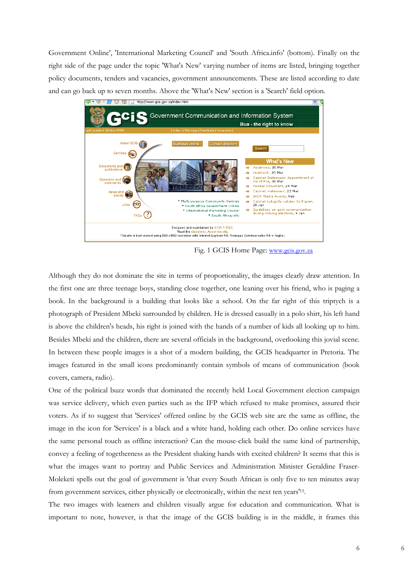Government Online', 'International Marketing Council' and 'South Africa.info' (bottom). Finally on the right side of the page under the topic 'What's New' varying number of items are listed, bringing together policy documents, tenders and vacancies, government announcements. These are listed according to date and can go back up to seven months. Above the 'What's New' section is a 'Search' field option.



Fig. 1 GCIS Home Page: www.gcis.gov.za

Although they do not dominate the site in terms of proportionality, the images clearly draw attention. In the first one are three teenage boys, standing close together, one leaning over his friend, who is paging a book. In the background is a building that looks like a school. On the far right of this triptych is a photograph of President Mbeki surrounded by children. He is dressed casually in a polo shirt, his left hand is above the children's heads, his right is joined with the hands of a number of kids all looking up to him. Besides Mbeki and the children, there are several officials in the background, overlooking this jovial scene. In between these people images is a shot of a modern building, the GCIS headquarter in Pretoria. The images featured in the small icons predominantly contain symbols of means of communication (book covers, camera, radio).

One of the political buzz words that dominated the recently held Local Government election campaign was service delivery, which even parties such as the IFP which refused to make promises, assured their voters. As if to suggest that 'Services' offered online by the GCIS web site are the same as offline, the image in the icon for 'Services' is a black and a white hand, holding each other. Do online services have the same personal touch as offline interaction? Can the mouse-click build the same kind of partnership, convey a feeling of togetherness as the President shaking hands with excited children? It seems that this is what the images want to portray and Public Services and Administration Minister Geraldine Fraser-Moleketi spells out the goal of government is 'that every South African is only five to ten minutes away from government services, either physically or electronically, within the next ten years'15.

The two images with learners and children visually argue for education and communication. What is important to note, however, is that the image of the GCIS building is in the middle, it frames this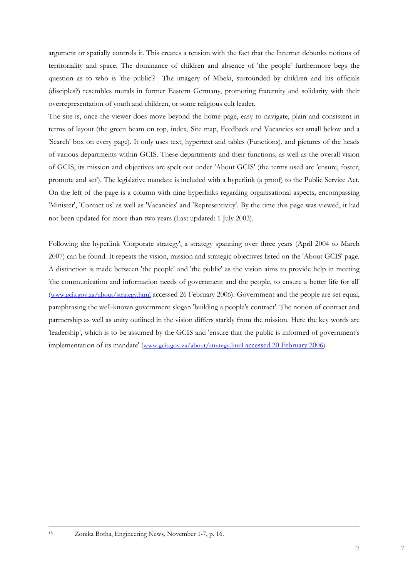argument or spatially controls it. This creates a tension with the fact that the Internet debunks notions of territoriality and space. The dominance of children and absence of 'the people' furthermore begs the question as to who is 'the public'? The imagery of Mbeki, surrounded by children and his officials (disciples?) resembles murals in former Eastern Germany, promoting fraternity and solidarity with their overrepresentation of youth and children, or some religious cult leader.

The site is, once the viewer does move beyond the home page, easy to navigate, plain and consistent in terms of layout (the green beam on top, index, Site map, Feedback and Vacancies set small below and a 'Search' box on every page). It only uses text, hypertext and tables (Functions), and pictures of the heads of various departments within GCIS. These departments and their functions, as well as the overall vision of GCIS, its mission and objectives are spelt out under 'About GCIS' (the terms used are 'ensure, foster, promote and set'). The legislative mandate is included with a hyperlink (a proof) to the Public Service Act. On the left of the page is a column with nine hyperlinks regarding organisational aspects, encompassing 'Minister', 'Contact us' as well as 'Vacancies' and 'Representivity'. By the time this page was viewed, it had not been updated for more than two years (Last updated: 1 July 2003).

Following the hyperlink 'Corporate strategy', a strategy spanning over three years (April 2004 to March 2007) can be found. It repeats the vision, mission and strategic objectives listed on the 'About GCIS' page. A distinction is made between 'the people' and 'the public' as the vision aims to provide help in meeting 'the communication and information needs of government and the people, to ensure a better life for all' (www.gcis.gov.za/about/strategy.html accessed 26 February 2006). Government and the people are set equal, paraphrasing the well-known government slogan 'building a people's contract'. The notion of contract and partnership as well as unity outlined in the vision differs starkly from the mission. Here the key words are 'leadership', which is to be assumed by the GCIS and 'ensure that the public is informed of government's implementation of its mandate' (www.gcis.gov.za/about/strategy.html accessed 20 February 2006).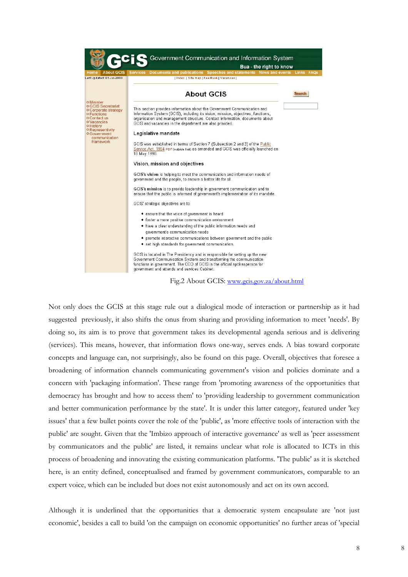|                                                                                                                                                                                                                   | Government Communication and Information System<br>Bua - the right to know                                                                                                                                                                                                                             |               |
|-------------------------------------------------------------------------------------------------------------------------------------------------------------------------------------------------------------------|--------------------------------------------------------------------------------------------------------------------------------------------------------------------------------------------------------------------------------------------------------------------------------------------------------|---------------|
| <b>About GCIS</b>                                                                                                                                                                                                 | Documents and publications Speeches and statements News and events Links FAQs<br><b>Services</b>                                                                                                                                                                                                       |               |
| Last Updated: 01-Jul-2003                                                                                                                                                                                         | Index   Site map   Feedback   Vacancies                                                                                                                                                                                                                                                                |               |
| o Minister<br>o GCIS Secretariat<br>o Corporate strategy<br><b>O</b> Functions<br>o Contact us<br>o Vacancies<br><b>O</b> History<br><b>O</b> Representivity<br><b>O</b> Government<br>communication<br>framework | <b>About GCIS</b>                                                                                                                                                                                                                                                                                      | <b>Search</b> |
|                                                                                                                                                                                                                   | This section provides information about the Government Communication and<br>Information System (GCIS), including its vision, mission, objectives, functions,<br>organisation and management structure. Contact information, documents about<br>GCIS and vacancies in the department are also provided. |               |
|                                                                                                                                                                                                                   | Legislative mandate                                                                                                                                                                                                                                                                                    |               |
|                                                                                                                                                                                                                   | GCIS was established in terms of Section 7 (Subsection 2 and 3) of the Public<br>Service Act, 1994 PDF (outside link) as amended and GCIS was officially launched on<br>18 May 1998.                                                                                                                   |               |
|                                                                                                                                                                                                                   | Vision, mission and objectives                                                                                                                                                                                                                                                                         |               |
|                                                                                                                                                                                                                   | GCIS's vision is helping to meet the communication and information needs of<br>government and the people, to ensure a better life for all.                                                                                                                                                             |               |
|                                                                                                                                                                                                                   | GCIS's mission is to provide leadership in government communication and to<br>ensure that the public is informed of government's implementation of its mandate.                                                                                                                                        |               |
|                                                                                                                                                                                                                   | GCIS' strategic objectives are to                                                                                                                                                                                                                                                                      |               |
|                                                                                                                                                                                                                   | • ensure that the voice of government is heard                                                                                                                                                                                                                                                         |               |
|                                                                                                                                                                                                                   | • foster a more positive communication environment                                                                                                                                                                                                                                                     |               |
|                                                                                                                                                                                                                   | • have a clear understanding of the public information needs and                                                                                                                                                                                                                                       |               |
|                                                                                                                                                                                                                   | government's communication needs                                                                                                                                                                                                                                                                       |               |
|                                                                                                                                                                                                                   | • promote interactive communications between government and the public<br>• set high standards for government communication.                                                                                                                                                                           |               |
|                                                                                                                                                                                                                   | GCIS is located in The Presidency and is responsible for setting up the new<br>Government Communication System and transforming the communication<br>functions in government. The CEO of GCIS is the official spokesperson for<br>government and attends and services Cabinet.                         |               |
|                                                                                                                                                                                                                   |                                                                                                                                                                                                                                                                                                        |               |

Fig.2 About GCIS: www.gcis.gov.za/about.html

Not only does the GCIS at this stage rule out a dialogical mode of interaction or partnership as it had suggested previously, it also shifts the onus from sharing and providing information to meet 'needs'. By doing so, its aim is to prove that government takes its developmental agenda serious and is delivering (services). This means, however, that information flows one-way, serves ends. A bias toward corporate concepts and language can, not surprisingly, also be found on this page. Overall, objectives that foresee a broadening of information channels communicating government's vision and policies dominate and a concern with 'packaging information'. These range from 'promoting awareness of the opportunities that democracy has brought and how to access them' to 'providing leadership to government communication and better communication performance by the state'. It is under this latter category, featured under 'key issues' that a few bullet points cover the role of the 'public', as 'more effective tools of interaction with the public' are sought. Given that the 'Imbizo approach of interactive governance' as well as 'peer assessment by communicators and the public' are listed, it remains unclear what role is allocated to ICTs in this process of broadening and innovating the existing communication platforms. 'The public' as it is sketched here, is an entity defined, conceptualised and framed by government communicators, comparable to an expert voice, which can be included but does not exist autonomously and act on its own accord.

Although it is underlined that the opportunities that a democratic system encapsulate are 'not just economic', besides a call to build 'on the campaign on economic opportunities' no further areas of 'special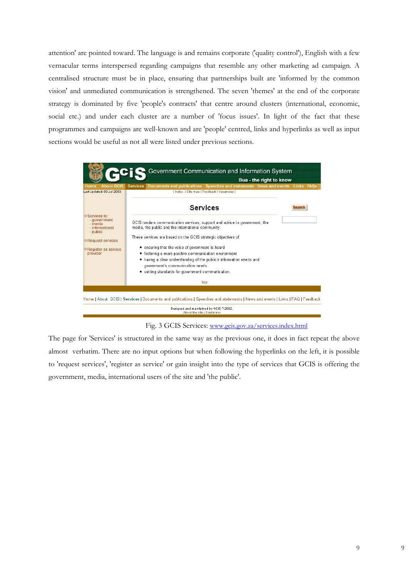attention' are pointed toward. The language is and remains corporate ('quality control'), English with a few vernacular terms interspersed regarding campaigns that resemble any other marketing ad campaign. A centralised structure must be in place, ensuring that partnerships built are 'informed by the common vision' and unmediated communication is strengthened. The seven 'themes' at the end of the corporate strategy is dominated by five 'people's contracts' that centre around clusters (international, economic, social etc.) and under each cluster are a number of 'focus issues'. In light of the fact that these programmes and campaigns are well-known and are 'people' centred, links and hyperlinks as well as input sections would be useful as not all were listed under previous sections.



Fig. 3 GCIS Services: www.gcis.gov.za/services.index.html

The page for 'Services' is structured in the same way as the previous one, it does in fact repeat the above almost verbatim. There are no input options but when following the hyperlinks on the left, it is possible to 'request services', 'register as service' or gain insight into the type of services that GCIS is offering the government, media, international users of the site and 'the public'.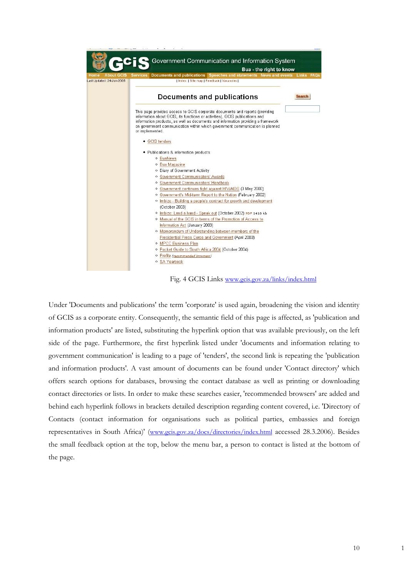



Under 'Documents and publications' the term 'corporate' is used again, broadening the vision and identity of GCIS as a corporate entity. Consequently, the semantic field of this page is affected, as 'publication and information products' are listed, substituting the hyperlink option that was available previously, on the left side of the page. Furthermore, the first hyperlink listed under 'documents and information relating to government communication' is leading to a page of 'tenders', the second link is repeating the 'publication and information products'. A vast amount of documents can be found under 'Contact directory' which offers search options for databases, browsing the contact database as well as printing or downloading contact directories or lists. In order to make these searches easier, 'recommended browsers' are added and behind each hyperlink follows in brackets detailed description regarding content covered, i.e. 'Directory of Contacts (contact information for organisations such as political parties, embassies and foreign representatives in South Africa)' (www.gcis.gov.za/docs/directories/index.html accessed 28.3.2006). Besides the small feedback option at the top, below the menu bar, a person to contact is listed at the bottom of the page.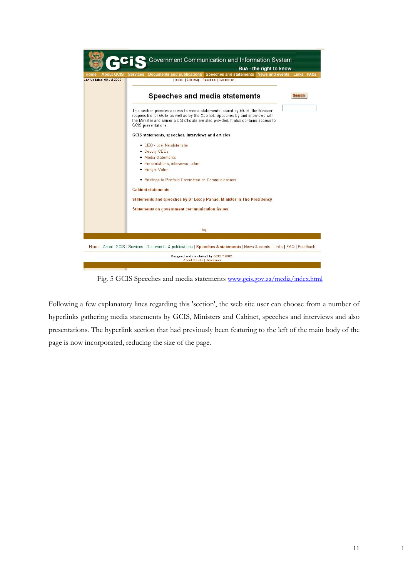

Fig. 5 GCIS Speeches and media statements www.gcis.gov.za/media/index.html

Following a few explanatory lines regarding this 'section', the web site user can choose from a number of hyperlinks gathering media statements by GCIS, Ministers and Cabinet, speeches and interviews and also presentations. The hyperlink section that had previously been featuring to the left of the main body of the page is now incorporated, reducing the size of the page.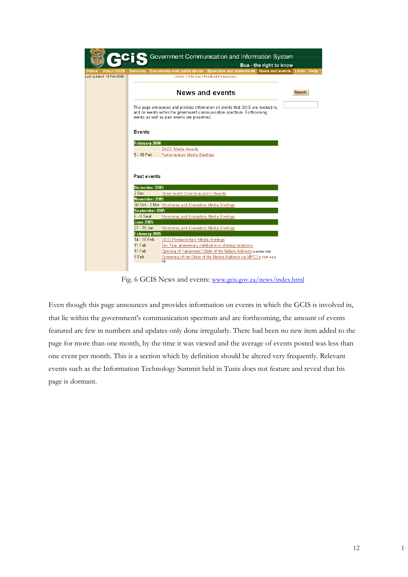|                                                        |                  | Government Communication and Information System<br>Bua - the right to know                                                                                                                                   |        |  |
|--------------------------------------------------------|------------------|--------------------------------------------------------------------------------------------------------------------------------------------------------------------------------------------------------------|--------|--|
|                                                        |                  |                                                                                                                                                                                                              |        |  |
| <b>About GCIS</b><br>Home<br>Last Updated: 15-Feb-2006 | <b>Services</b>  | Documents and publications Speeches and statements News and events Links FAQs<br>  Index   Site map   Feedback   Vacancies                                                                                   |        |  |
|                                                        |                  |                                                                                                                                                                                                              |        |  |
|                                                        |                  |                                                                                                                                                                                                              | Search |  |
|                                                        |                  | <b>News and events</b>                                                                                                                                                                                       |        |  |
|                                                        |                  | This page announces and provides information on events that GCIS are involved in,<br>and on events within the government communication spectrum. Forthcoming<br>events as well as past events are presented. |        |  |
|                                                        | Events           |                                                                                                                                                                                                              |        |  |
|                                                        | February 2006    |                                                                                                                                                                                                              |        |  |
|                                                        |                  | SADC Media Awards                                                                                                                                                                                            |        |  |
|                                                        | 5 - 10 Feb       | Parliamentary Media Briefings                                                                                                                                                                                |        |  |
|                                                        | Past events      | December 2005                                                                                                                                                                                                |        |  |
|                                                        | 2 Dec            | Government Communicators' Awards                                                                                                                                                                             |        |  |
|                                                        |                  | November 2005                                                                                                                                                                                                |        |  |
|                                                        |                  | 30 Oct - 3 Nov Monitoring and Evaluation Media Briefings                                                                                                                                                     |        |  |
|                                                        |                  | September 2005                                                                                                                                                                                               |        |  |
|                                                        | 6 - 8 Sept       | Monitoring and Evaluation Media Briefings                                                                                                                                                                    |        |  |
|                                                        | <b>June 2005</b> |                                                                                                                                                                                                              |        |  |
|                                                        | 27 - 29 Jun      | Monitoring and Evaluation Media Briefings                                                                                                                                                                    |        |  |
|                                                        | February 2005    |                                                                                                                                                                                                              |        |  |
|                                                        | 14 - 18 Feb      | <b>GCIS Parliamentary Media Briefings</b>                                                                                                                                                                    |        |  |
|                                                        | 11 Feb           | Ten Year anniversary celebrations closing ceremony                                                                                                                                                           |        |  |
|                                                        | 11 Feb           | Opening of Parliament/ State of the Nation Address (outside link)                                                                                                                                            |        |  |
|                                                        | 9 Feb            | Screening of the State of the Nation Address via MPCCs PDF 411<br>kЬ                                                                                                                                         |        |  |
|                                                        |                  |                                                                                                                                                                                                              |        |  |

Fig. 6 GCIS News and events: www.gcis.gov.za/news/index.html

Even though this page announces and provides information on events in which the GCIS is involved in, that lie within the government's communication spectrum and are forthcoming, the amount of events featured are few in numbers and updates only done irregularly. There had been no new item added to the page for more than one month, by the time it was viewed and the average of events posted was less than one event per month. This is a section which by definition should be altered very frequently. Relevant events such as the Information Technology Summit held in Tunis does not feature and reveal that his page is dormant.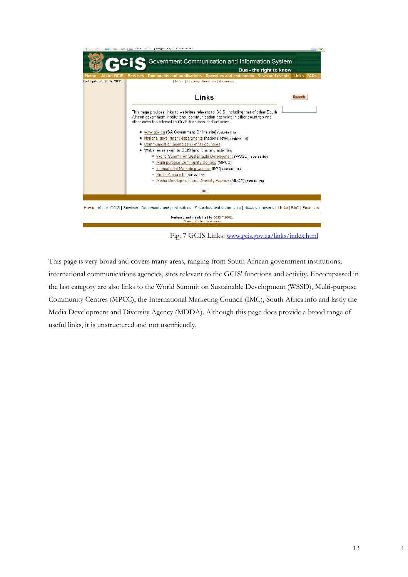

Fig. 7 GCIS Links: www.gcis.gov.za/links/index.html

This page is very broad and covers many areas, ranging from South African government institutions, international communications agencies, sites relevant to the GCIS' functions and activity. Encompassed in the last category are also links to the World Summit on Sustainable Development (WSSD), Multi-purpose Community Centres (MPCC), the International Marketing Council (IMC), South Africa.info and lastly the Media Development and Diversity Agency (MDDA). Although this page does provide a broad range of useful links, it is unstructured and not userfriendly.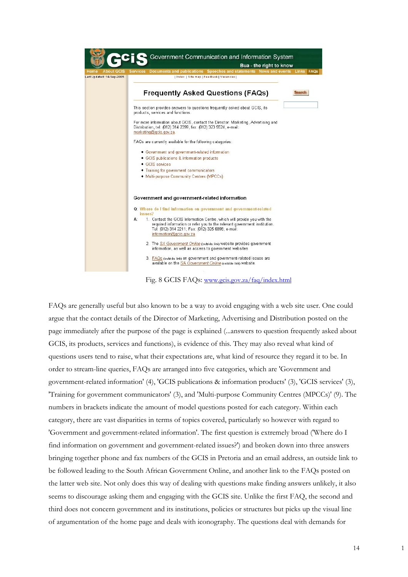

Fig. 8 GCIS FAQs: www.gcis.gov.za/faq/index.html

FAQs are generally useful but also known to be a way to avoid engaging with a web site user. One could argue that the contact details of the Director of Marketing, Advertising and Distribution posted on the page immediately after the purpose of the page is explained (...answers to question frequently asked about GCIS, its products, services and functions), is evidence of this. They may also reveal what kind of questions users tend to raise, what their expectations are, what kind of resource they regard it to be. In order to stream-line queries, FAQs are arranged into five categories, which are 'Government and government-related information' (4), 'GCIS publications & information products' (3), 'GCIS services' (3), 'Training for government communicators' (3), and 'Multi-purpose Community Centres (MPCCs)' (9). The numbers in brackets indicate the amount of model questions posted for each category. Within each category, there are vast disparities in terms of topics covered, particularly so however with regard to 'Government and government-related information'. The first question is extremely broad ('Where do I find information on government and government-related issues?') and broken down into three answers bringing together phone and fax numbers of the GCIS in Pretoria and an email address, an outside link to be followed leading to the South African Government Online, and another link to the FAQs posted on the latter web site. Not only does this way of dealing with questions make finding answers unlikely, it also seems to discourage asking them and engaging with the GCIS site. Unlike the first FAQ, the second and third does not concern government and its institutions, policies or structures but picks up the visual line of argumentation of the home page and deals with iconography. The questions deal with demands for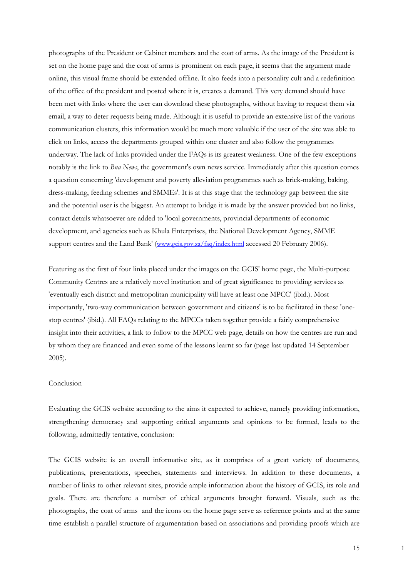photographs of the President or Cabinet members and the coat of arms. As the image of the President is set on the home page and the coat of arms is prominent on each page, it seems that the argument made online, this visual frame should be extended offline. It also feeds into a personality cult and a redefinition of the office of the president and posted where it is, creates a demand. This very demand should have been met with links where the user can download these photographs, without having to request them via email, a way to deter requests being made. Although it is useful to provide an extensive list of the various communication clusters, this information would be much more valuable if the user of the site was able to click on links, access the departments grouped within one cluster and also follow the programmes underway. The lack of links provided under the FAQs is its greatest weakness. One of the few exceptions notably is the link to *Bua News*, the government's own news service. Immediately after this question comes a question concerning 'development and poverty alleviation programmes such as brick-making, baking, dress-making, feeding schemes and SMMEs'. It is at this stage that the technology gap between the site and the potential user is the biggest. An attempt to bridge it is made by the answer provided but no links, contact details whatsoever are added to 'local governments, provincial departments of economic development, and agencies such as Khula Enterprises, the National Development Agency, SMME support centres and the Land Bank' (www.gcis.gov.za/faq/index.html accessed 20 February 2006).

Featuring as the first of four links placed under the images on the GCIS' home page, the Multi-purpose Community Centres are a relatively novel institution and of great significance to providing services as 'eventually each district and metropolitan municipality will have at least one MPCC' (ibid.). Most importantly, 'two-way communication between government and citizens' is to be facilitated in these 'onestop centres' (ibid.). All FAQs relating to the MPCCs taken together provide a fairly comprehensive insight into their activities, a link to follow to the MPCC web page, details on how the centres are run and by whom they are financed and even some of the lessons learnt so far (page last updated 14 September 2005).

## Conclusion

Evaluating the GCIS website according to the aims it expected to achieve, namely providing information, strengthening democracy and supporting critical arguments and opinions to be formed, leads to the following, admittedly tentative, conclusion:

The GCIS website is an overall informative site, as it comprises of a great variety of documents, publications, presentations, speeches, statements and interviews. In addition to these documents, a number of links to other relevant sites, provide ample information about the history of GCIS, its role and goals. There are therefore a number of ethical arguments brought forward. Visuals, such as the photographs, the coat of arms and the icons on the home page serve as reference points and at the same time establish a parallel structure of argumentation based on associations and providing proofs which are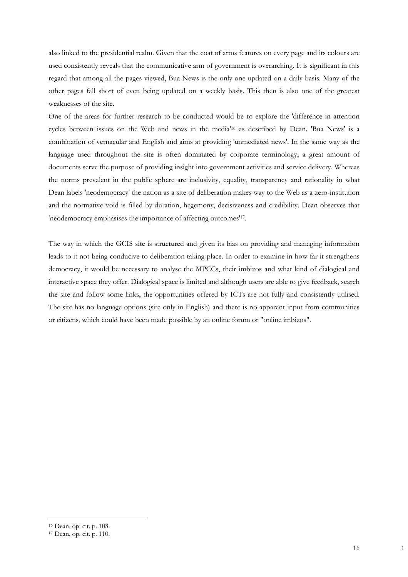also linked to the presidential realm. Given that the coat of arms features on every page and its colours are used consistently reveals that the communicative arm of government is overarching. It is significant in this regard that among all the pages viewed, Bua News is the only one updated on a daily basis. Many of the other pages fall short of even being updated on a weekly basis. This then is also one of the greatest weaknesses of the site.

One of the areas for further research to be conducted would be to explore the 'difference in attention cycles between issues on the Web and news in the media'16 as described by Dean. 'Bua News' is a combination of vernacular and English and aims at providing 'unmediated news'. In the same way as the language used throughout the site is often dominated by corporate terminology, a great amount of documents serve the purpose of providing insight into government activities and service delivery. Whereas the norms prevalent in the public sphere are inclusivity, equality, transparency and rationality in what Dean labels 'neodemocracy' the nation as a site of deliberation makes way to the Web as a zero-institution and the normative void is filled by duration, hegemony, decisiveness and credibility. Dean observes that 'neodemocracy emphasises the importance of affecting outcomes'17.

The way in which the GCIS site is structured and given its bias on providing and managing information leads to it not being conducive to deliberation taking place. In order to examine in how far it strengthens democracy, it would be necessary to analyse the MPCCs, their imbizos and what kind of dialogical and interactive space they offer. Dialogical space is limited and although users are able to give feedback, search the site and follow some links, the opportunities offered by ICTs are not fully and consistently utilised. The site has no language options (site only in English) and there is no apparent input from communities or citizens, which could have been made possible by an online forum or "online imbizos".

<sup>16</sup> Dean, op. cit. p. 108.

<sup>17</sup> Dean, op. cit. p. 110.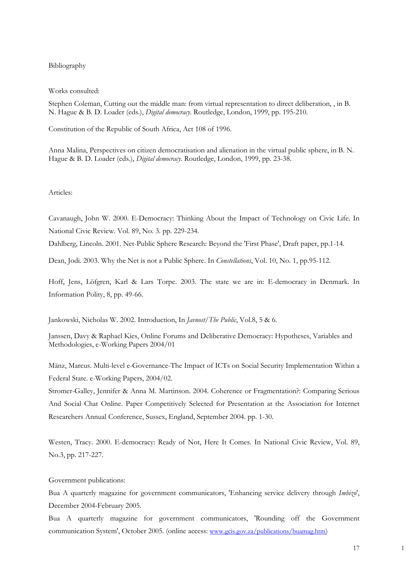# Bibliography

#### Works consulted:

Stephen Coleman, Cutting out the middle man: from virtual representation to direct deliberation, , in B. N. Hague & B. D. Loader (eds.), *Digital democracy*. Routledge, London, 1999, pp. 195-210.

Constitution of the Republic of South Africa, Act 108 of 1996.

Anna Malina, Perspectives on citizen democratisation and alienation in the virtual public sphere, in B. N. Hague & B. D. Loader (eds.), *Digital democracy*. Routledge, London, 1999, pp. 23-38.

### Articles:

Cavanaugh, John W. 2000. E-Democracy: Thinking About the Impact of Technology on Civic Life. In National Civic Review. Vol. 89, No. 3. pp. 229-234.

Dahlberg, Lincoln. 2001. Net-Public Sphere Research: Beyond the 'First Phase', Draft paper, pp.1-14.

Dean, Jodi. 2003. Why the Net is not a Public Sphere. In *Constellations*, Vol. 10, No. 1, pp.95-112.

Hoff, Jens, Löfgren, Karl & Lars Torpe. 2003. The state we are in: E-democracy in Denmark. In Information Polity, 8, pp. 49-66.

Jankowski, Nicholas W. 2002. Introduction, In *Javnost/The Public*, Vol.8, 5 & 6.

Janssen, Davy & Raphael Kies, Online Forums and Deliberative Democracy: Hypotheses, Variables and Methodologies, e-Working Papers 2004/01

Mänz, Marcus. Multi-level e-Governance-The Impact of ICTs on Social Security Implementation Within a Federal State. e-Working Papers, 2004/02.

Stromer-Galley, Jennifer & Anna M. Martinson. 2004. Coherence or Fragmentation?: Comparing Serious And Social Chat Online. Paper Competitively Selected for Presentation at the Association for Internet Researchers Annual Conference, Sussex, England, September 2004. pp. 1-30.

Westen, Tracy. 2000. E-democracy: Ready of Not, Here It Comes. In National Civic Review, Vol. 89, No.3, pp. 217-227.

Government publications:

Bua A quarterly magazine for government communicators, 'Enhancing service delivery through *Imbizo*', December 2004-February 2005.

Bua A quarterly magazine for government communicators, 'Rounding off the Government communication System', October 2005. (online access: www.gcis.gov.za/publications/buamag.htm)